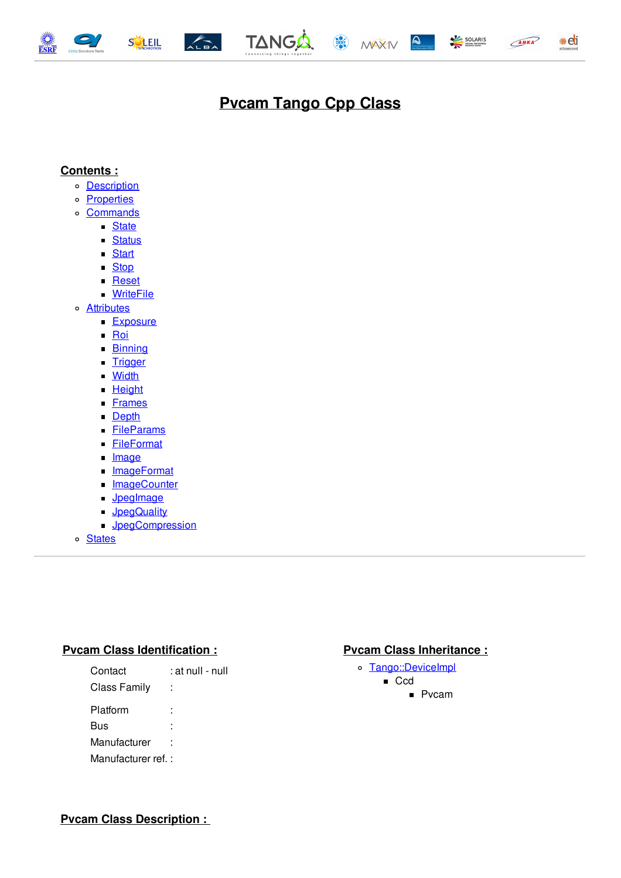<span id="page-0-0"></span>









# **Pvcam Tango Cpp Class**

#### **Contents :**

- o **[Description](#page-0-0)**
- o **[Properties](#page-0-0)**
- [Commands](#page-0-0)
	- [State](#page-0-0)
	- [Status](#page-0-0)
	- [Start](#page-0-0)
	- [Stop](#page-0-0)
	- **[Reset](#page-0-0)**
	- [WriteFile](#page-0-0)
- [Attributes](#page-0-0)
	- **[Exposure](#page-0-0)**
	- $\blacksquare$  [Roi](#page-0-0)
	- **[Binning](#page-0-0)**
	- **[Trigger](#page-0-0)**
	- **[Width](#page-0-0)**
	- **[Height](#page-0-0)**
	- **[Frames](#page-0-0)**
	- [Depth](#page-0-0)
	- **[FileParams](#page-0-0)**
	- **[FileFormat](#page-0-0)**
	- **[Image](#page-0-0)**
	- **[ImageFormat](#page-0-0)**
	- **[ImageCounter](#page-0-0)**
	- **[JpegImage](#page-0-0)**
	- **[JpegQuality](#page-0-0)**
	- **[JpegCompression](#page-0-0)**
- o [States](#page-0-0)

#### **Pvcam Class Identification : Pvcam Class Inheritance :**

| Contact             | : at null - null |
|---------------------|------------------|
| <b>Class Family</b> |                  |
| Platform            |                  |
| Bus                 |                  |
| Manufacturer        |                  |
| Manufacturer ref.:  |                  |

- o [Tango::DeviceImpl](http://www.esrf.eu/computing/cs/tango/tango_doc/kernel_doc/cpp_doc/)
	- Ccd
		- **P**vcam

**Pvcam Class Description :**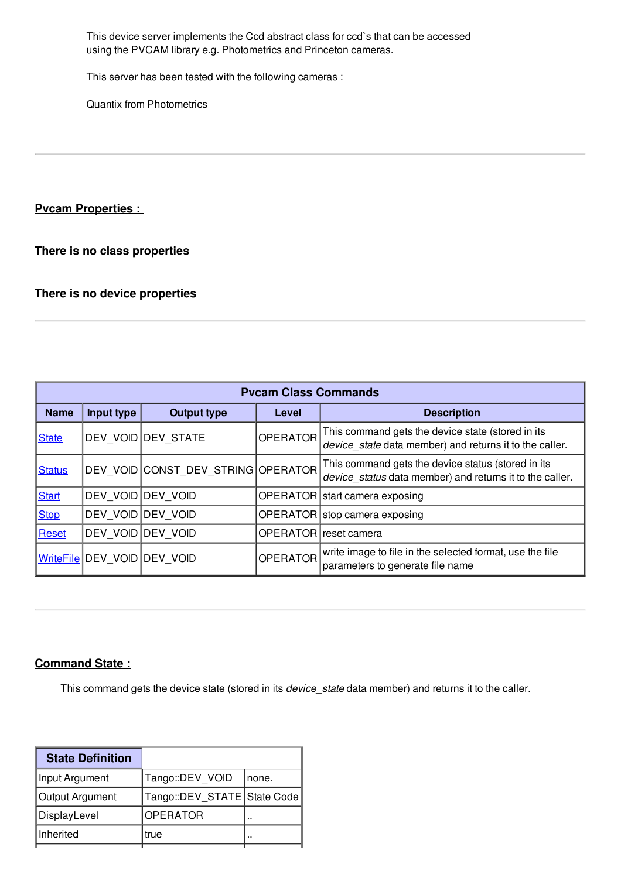This device server implements the Ccd abstract class for ccd`s that can be accessed using the PVCAM library e.g. Photometrics and Princeton cameras.

This server has been tested with the following cameras :

Quantix from Photometrics

#### **Pvcam Properties :**

**There is no class properties**

#### **There is no device properties**

| <b>Pvcam Class Commands</b> |                   |                                    |                 |                                                                                                                |  |  |  |
|-----------------------------|-------------------|------------------------------------|-----------------|----------------------------------------------------------------------------------------------------------------|--|--|--|
| <b>Name</b>                 | Input type        | <b>Output type</b>                 | Level           | <b>Description</b>                                                                                             |  |  |  |
| <b>State</b>                |                   | DEV VOID DEV STATE                 | <b>OPERATOR</b> | This command gets the device state (stored in its<br>device state data member) and returns it to the caller.   |  |  |  |
| <b>Status</b>               |                   | DEV VOID CONST DEV STRING OPERATOR |                 | This command gets the device status (stored in its<br>device status data member) and returns it to the caller. |  |  |  |
| <b>Start</b>                | DEV VOID DEV VOID |                                    | <b>OPERATOR</b> | start camera exposing                                                                                          |  |  |  |
| <b>Stop</b>                 | DEV VOID DEV VOID |                                    |                 | OPERATOR   stop camera exposing                                                                                |  |  |  |
| Reset                       |                   | DEV VOID DEV VOID                  |                 | OPERATOR reset camera                                                                                          |  |  |  |
| <b>WriteFile</b>            | DEV VOID DEV VOID |                                    | <b>OPERATOR</b> | write image to file in the selected format, use the file<br>parameters to generate file name                   |  |  |  |

#### **Command State :**

This command gets the device state (stored in its *device\_state* data member) and returns it to the caller.

| <b>State Definition</b> |                             |       |
|-------------------------|-----------------------------|-------|
| Input Argument          | Tango::DEV_VOID             | none. |
| Output Argument         | Tango::DEV STATE State Code |       |
| DisplayLevel            | <b>OPERATOR</b>             |       |
| Inherited               | true                        |       |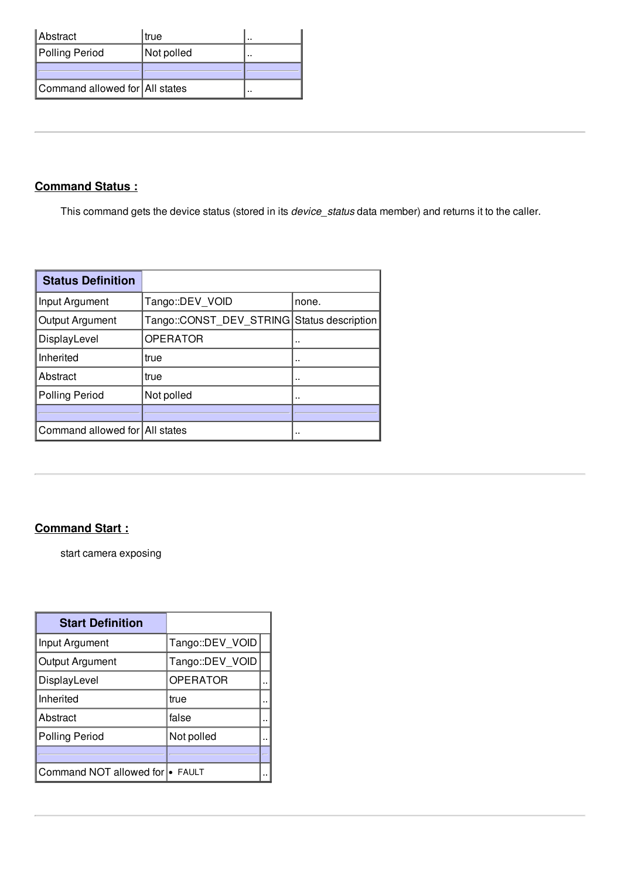| Abstract                       | l true     |  |
|--------------------------------|------------|--|
| Polling Period                 | Not polled |  |
|                                |            |  |
| Command allowed for All states |            |  |

## **Command Status :**

This command gets the device status (stored in its *device\_status* data member) and returns it to the caller.

| <b>Status Definition</b>       |                                            |       |
|--------------------------------|--------------------------------------------|-------|
| Input Argument                 | Tango::DEV VOID                            | none. |
| Output Argument                | Tango::CONST DEV STRING Status description |       |
| DisplayLevel                   | <b>OPERATOR</b>                            |       |
| Inherited                      | true                                       |       |
| Abstract                       | true                                       | .,    |
| <b>Polling Period</b>          | Not polled                                 |       |
|                                |                                            |       |
| Command allowed for All states |                                            |       |

## **Command Start :**

start camera exposing

| <b>Start Definition</b>         |                 |  |
|---------------------------------|-----------------|--|
| Input Argument                  | Tango::DEV VOID |  |
| Output Argument                 | Tango::DEV VOID |  |
| DisplayLevel                    | <b>OPERATOR</b> |  |
| Inherited                       | true            |  |
| Abstract                        | false           |  |
| <b>Polling Period</b>           | Not polled      |  |
|                                 |                 |  |
| Command NOT allowed for • FAULT |                 |  |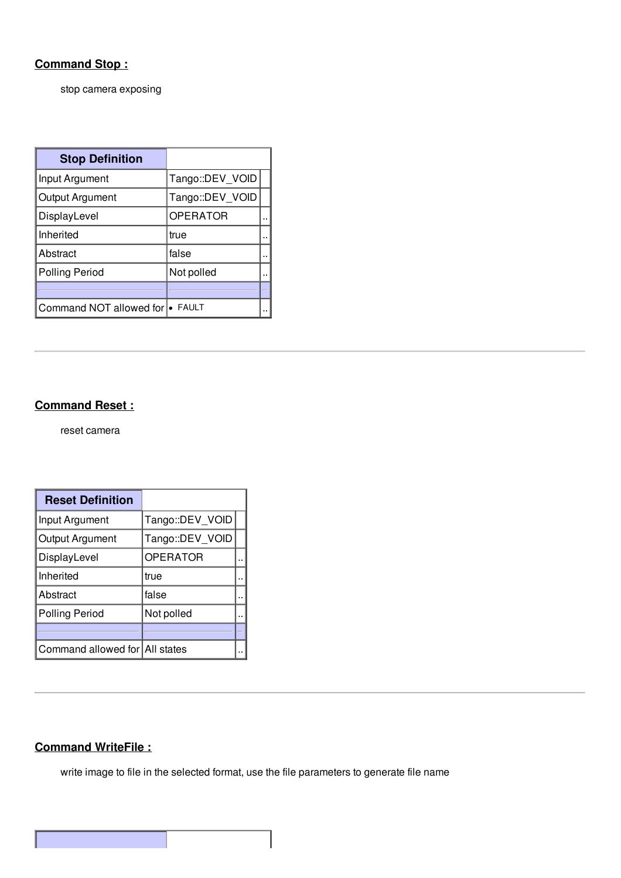## **Command Stop :**

stop camera exposing

| <b>Stop Definition</b>          |                 |  |
|---------------------------------|-----------------|--|
| Input Argument                  | Tango::DEV VOID |  |
| Output Argument                 | Tango::DEV VOID |  |
| DisplayLevel                    | <b>OPERATOR</b> |  |
| Inherited                       | true            |  |
| Abstract                        | false           |  |
| Polling Period                  | Not polled      |  |
|                                 |                 |  |
| Command NOT allowed for • FAULT |                 |  |

#### **Command Reset :**

reset camera

| <b>Reset Definition</b>        |                 |  |
|--------------------------------|-----------------|--|
| Input Argument                 | Tango::DEV VOID |  |
| Output Argument                | Tango::DEV VOID |  |
| DisplayLevel                   | <b>OPERATOR</b> |  |
| Inherited                      | true            |  |
| Abstract                       | false           |  |
| <b>Polling Period</b>          | Not polled      |  |
|                                |                 |  |
| Command allowed for All states |                 |  |

#### **Command WriteFile :**

write image to file in the selected format, use the file parameters to generate file name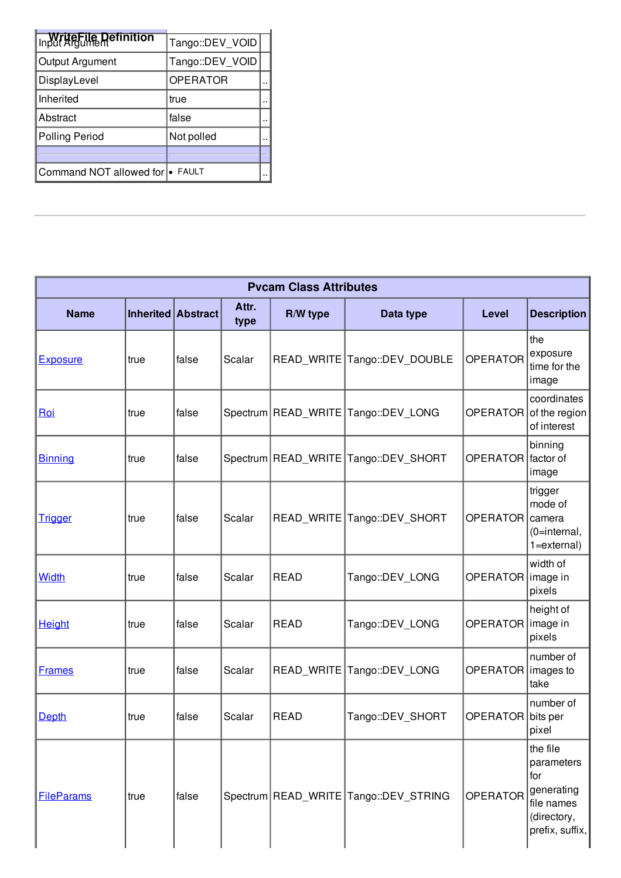| In WriteFile Definition         | Tango::DEV VOID |  |
|---------------------------------|-----------------|--|
| Output Argument                 | Tango::DEV VOID |  |
| DisplayLevel                    | <b>OPERATOR</b> |  |
| Inherited                       | true            |  |
| Abstract                        | false           |  |
| Polling Period                  | Not polled      |  |
|                                 |                 |  |
| Command NOT allowed for • FAULT |                 |  |

| <b>Pvcam Class Attributes</b> |      |                    |               |                       |                                         |                      |                                                                                             |
|-------------------------------|------|--------------------|---------------|-----------------------|-----------------------------------------|----------------------|---------------------------------------------------------------------------------------------|
| <b>Name</b>                   |      | Inherited Abstract | Attr.<br>type | R/W type              | Data type                               | <b>Level</b>         | <b>Description</b>                                                                          |
| <b>Exposure</b>               | true | false              | Scalar        |                       | READ_WRITE   Tango::DEV_DOUBLE          | <b>OPERATOR</b>      | the<br>exposure<br>time for the<br>image                                                    |
| <u>Roi</u>                    | true | false              |               |                       | Spectrum   READ_WRITE   Tango::DEV_LONG |                      | coordinates<br>OPERATOR of the region<br>of interest                                        |
| <b>Binning</b>                | true | false              |               | Spectrum   READ_WRITE | Tango::DEV_SHORT                        | OPERATOR factor of   | binning<br>image                                                                            |
| <b>Trigger</b>                | true | false              | Scalar        |                       | READ_WRITE   Tango::DEV_SHORT           | OPERATOR camera      | trigger<br>mode of<br>(0=internal,<br>$1 = external$                                        |
| <b>Width</b>                  | true | false              | Scalar        | <b>READ</b>           | Tango::DEV_LONG                         | OPERATOR   image in  | width of<br>pixels                                                                          |
| <b>Height</b>                 | true | false              | Scalar        | <b>READ</b>           | Tango::DEV LONG                         | OPERATOR image in    | height of<br>pixels                                                                         |
| <b>Frames</b>                 | true | false              | Scalar        | READ_WRITE            | Tango::DEV_LONG                         | OPERATOR   images to | number of<br>take                                                                           |
| <b>Depth</b>                  | true | false              | Scalar        | <b>READ</b>           | Tango::DEV_SHORT                        | OPERATOR bits per    | number of<br>pixel                                                                          |
| <b>FileParams</b>             | true | false              |               |                       | Spectrum READ_WRITE Tango::DEV_STRING   | <b>OPERATOR</b>      | the file<br>parameters<br>for<br>generating<br>file names<br>(directory,<br>prefix, suffix, |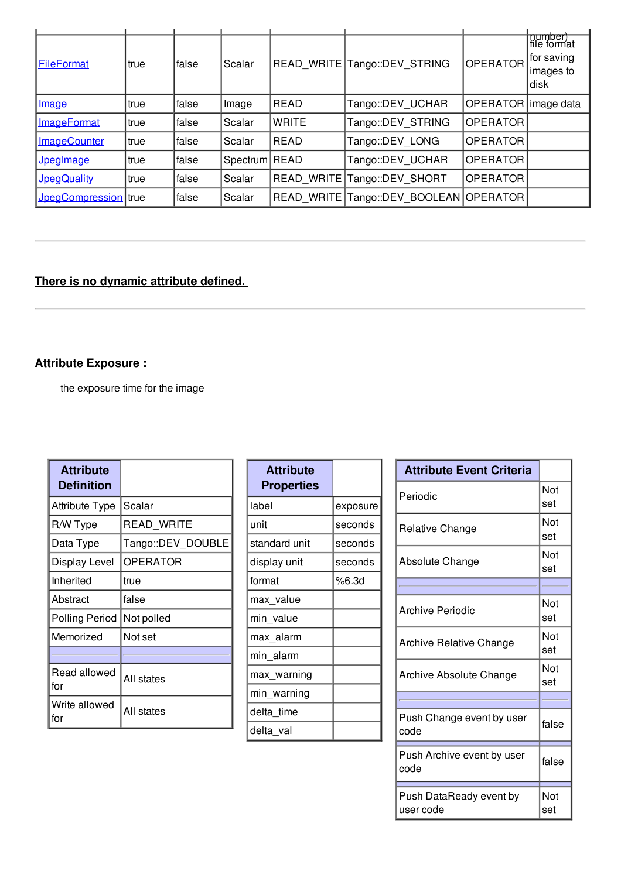| <b>FileFormat</b>    | true | false | Scalar        |              | READ WRITE Tango:: DEV STRING          | <b>OPERATOR</b>       | mumber)<br> file format<br>for saving<br>∣images to<br>disk |
|----------------------|------|-------|---------------|--------------|----------------------------------------|-----------------------|-------------------------------------------------------------|
| <b>Image</b>         | true | false | Image         | <b>READ</b>  | Tango::DEV UCHAR                       | OPERATOR   image data |                                                             |
| <b>ImageFormat</b>   | true | false | Scalar        | <b>WRITE</b> | Tango::DEV STRING                      | <b>OPERATOR</b>       |                                                             |
| <b>ImageCounter</b>  | true | false | Scalar        | READ         | Tango::DEV LONG                        | <b>OPERATOR</b>       |                                                             |
| Jpeglmage            | true | false | Spectrum READ |              | Tango::DEV UCHAR                       | OPERATOR              |                                                             |
| <b>JpegQuality</b>   | true | false | Scalar        |              | READ WRITE Tango::DEV SHORT            | <b>OPERATOR</b>       |                                                             |
| JpegCompression true |      | false | Scalar        |              | READ WRITE Tango::DEV BOOLEAN OPERATOR |                       |                                                             |

## **There is no dynamic attribute defined.**

## **Attribute Exposure :**

the exposure time for the image

| <b>Attribute</b><br><b>Definition</b> |                   |
|---------------------------------------|-------------------|
| <b>Attribute Type</b>                 | Scalar            |
| R/W Type                              | <b>READ WRITE</b> |
| Data Type                             | Tango::DEV DOUBLE |
| Display Level                         | <b>OPERATOR</b>   |
| Inherited                             | true              |
| Abstract                              | false             |
| <b>Polling Period</b>                 | Not polled        |
| Memorized                             | Not set           |
|                                       |                   |
| Read allowed<br>for                   | All states        |
| Write allowed<br>for                  | All states        |

| <b>Attribute</b><br><b>Properties</b> |          |
|---------------------------------------|----------|
| label                                 | exposure |
| unit                                  | seconds  |
| standard unit                         | seconds  |
| display unit                          | seconds  |
| format                                | %6.3d    |
| max_value                             |          |
| min value                             |          |
| max_alarm                             |          |
| min alarm                             |          |
| max warning                           |          |
| min_warning                           |          |
| delta time                            |          |
| delta val                             |          |

| <b>Attribute Event Criteria</b>      |            |
|--------------------------------------|------------|
| Periodic                             | Not<br>set |
| <b>Relative Change</b>               | Not<br>set |
| Absolute Change                      | Not<br>set |
|                                      |            |
| Archive Periodic                     | Not<br>set |
| Archive Relative Change              | Not<br>set |
| Archive Absolute Change              | Not<br>set |
|                                      |            |
| Push Change event by user<br>code    | false      |
| Push Archive event by user<br>code   | false      |
| Push DataReady event by<br>user code | Not<br>set |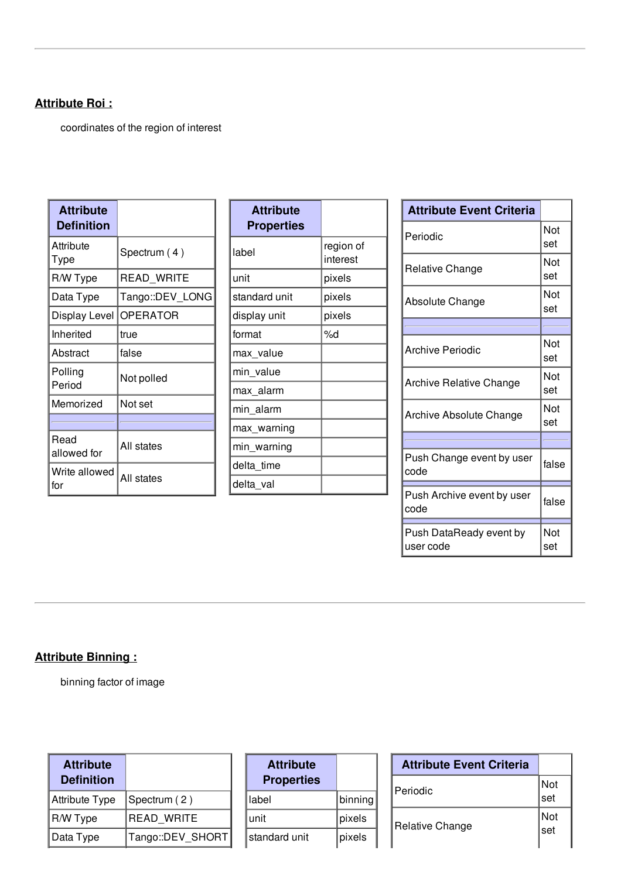#### **Attribute Roi :**

coordinates of the region of interest

| <b>Attribute</b><br><b>Definition</b> |                 |
|---------------------------------------|-----------------|
| Attribute<br>Type                     | Spectrum (4)    |
| R/W Type                              | READ WRITE      |
| Data Type                             | Tango::DEV_LONG |
| Display Level                         | OPERATOR        |
| Inherited                             | true            |
| Abstract                              | false           |
| Polling<br>Period                     | Not polled      |
| Memorized                             | Not set         |
|                                       |                 |
| Read<br>allowed for                   | All states      |
| Write allowed<br>for                  | All states      |

| <b>Attribute</b><br><b>Properties</b> |                       |
|---------------------------------------|-----------------------|
| label                                 | region of<br>interest |
| unit                                  | pixels                |
| standard unit                         | pixels                |
| display unit                          | pixels                |
| format                                | %d                    |
| max_value                             |                       |
| min value                             |                       |
| max_alarm                             |                       |
| min alarm                             |                       |
| max_warning                           |                       |
| min_warning                           |                       |
| delta time                            |                       |
| delta val                             |                       |

| <b>Attribute Event Criteria</b>      |            |
|--------------------------------------|------------|
| Periodic                             | Not<br>set |
| Relative Change                      | Not<br>set |
| Absolute Change                      | Not<br>set |
|                                      |            |
| Archive Periodic                     | Not<br>set |
| <b>Archive Relative Change</b>       | Not<br>set |
| Archive Absolute Change              | Not<br>set |
|                                      |            |
| Push Change event by user<br>code    | false      |
| Push Archive event by user<br>code   | false      |
| Push DataReady event by<br>user code | Not<br>set |

## **Attribute Binning :**

binning factor of image

| <b>Attribute</b><br><b>Definition</b> |                  |
|---------------------------------------|------------------|
| Attribute Type                        | Spectrum (2)     |
| R/W Type                              | READ WRITE       |
| Data Type                             | Tango::DEV_SHORT |

| <b>Attribute</b><br><b>Properties</b> |         |
|---------------------------------------|---------|
| label                                 | binning |
| unit                                  | pixels  |
| standard unit                         | pixels  |

| <b>Attribute Event Criteria</b> |            |
|---------------------------------|------------|
| Periodic                        | Not<br>set |
| Relative Change                 | Not<br>set |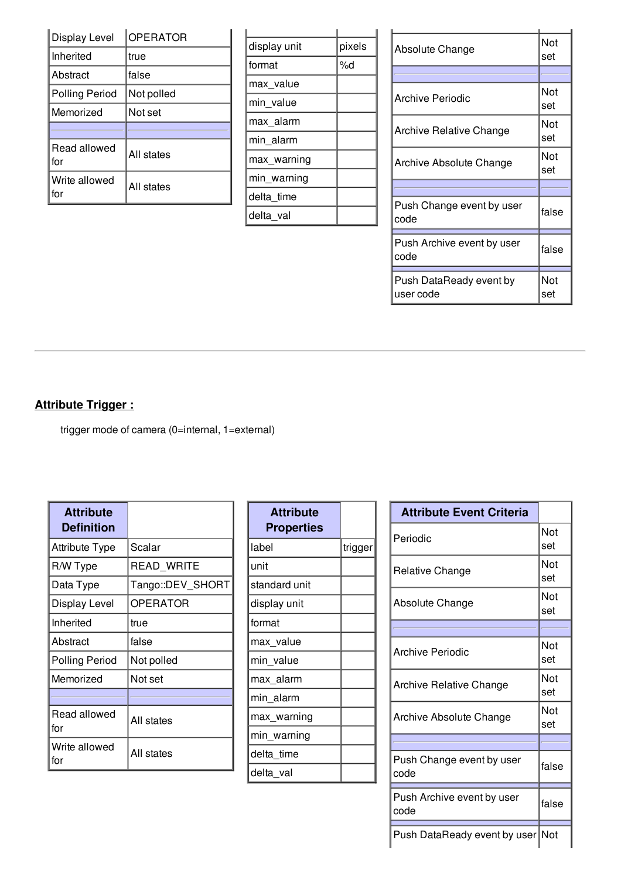| Display Level        | <b>OPERATOR</b> |
|----------------------|-----------------|
| Inherited            | true            |
| Abstract             | false           |
| Polling Period       | Not polled      |
| Memorized            | Not set         |
|                      |                 |
| Read allowed<br>for  | All states      |
| Write allowed<br>for | All states      |

| display unit | pixels |
|--------------|--------|
| format       | %d     |
| max value    |        |
| min value    |        |
| max_alarm    |        |
| min alarm    |        |
| max warning  |        |
| min_warning  |        |
| delta time   |        |
| delta val    |        |

| Absolute Change                    | Not<br>set |
|------------------------------------|------------|
|                                    |            |
| <b>Archive Periodic</b>            | Not<br>set |
| <b>Archive Relative Change</b>     | Not<br>set |
| <b>Archive Absolute Change</b>     | Not<br>set |
|                                    |            |
| Push Change event by user<br>code  | false      |
| Push Archive event by user<br>code | false      |
| Push DataReady event by            | Not        |
| user code                          | set        |

## **Attribute Trigger :**

trigger mode of camera (0=internal, 1=external)

| <b>Attribute</b><br><b>Definition</b> |                  |
|---------------------------------------|------------------|
| <b>Attribute Type</b>                 | Scalar           |
| R/W Type                              | READ WRITE       |
| Data Type                             | Tango::DEV_SHORT |
| Display Level                         | <b>OPERATOR</b>  |
| Inherited                             | true             |
| Abstract                              | false            |
| <b>Polling Period</b>                 | Not polled       |
| Memorized                             | Not set          |
|                                       |                  |
| Read allowed<br>for                   | All states       |
| Write allowed<br>for                  | All states       |

| trigger |
|---------|
|         |
|         |
|         |
|         |
|         |
|         |
|         |
|         |
|         |
|         |
|         |
|         |
|         |

| <b>Attribute Event Criteria</b>    |            |
|------------------------------------|------------|
| Periodic                           | Not<br>set |
| Relative Change                    | Not<br>set |
| Absolute Change                    | Not<br>set |
|                                    |            |
| <b>Archive Periodic</b>            | Not<br>set |
| <b>Archive Relative Change</b>     | Not<br>set |
| Archive Absolute Change            | Not<br>set |
|                                    |            |
| Push Change event by user<br>code  | false      |
| Push Archive event by user<br>code | false      |
| Push DataReady event by user Not   |            |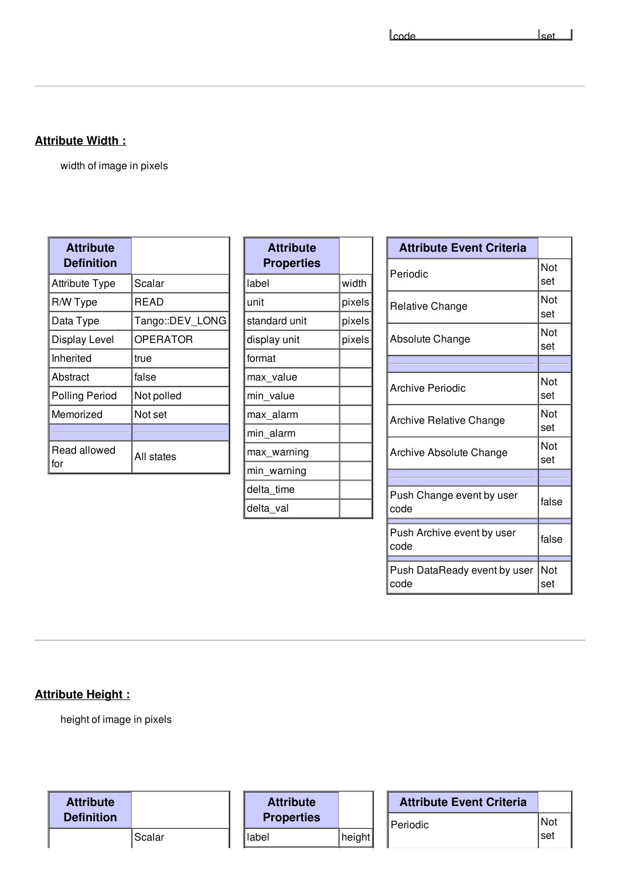$\lceil \text{code} \rceil$ 

## **Attribute Width :**

width of image in pixels

| <b>Attribute</b><br><b>Definition</b> |                 |
|---------------------------------------|-----------------|
| <b>Attribute Type</b>                 | Scalar          |
| R/W Type                              | READ            |
| Data Type                             | Tango::DEV_LONG |
| Display Level                         | OPERATOR        |
| Inherited                             | true            |
| Abstract                              | false           |
| <b>Polling Period</b>                 | Not polled      |
| Memorized                             | Not set         |
|                                       |                 |
| Read allowed<br>for                   | All states      |

| <b>Attribute</b><br><b>Properties</b> |        |
|---------------------------------------|--------|
| label                                 | width  |
| unit                                  | pixels |
| standard unit                         | pixels |
| display unit                          | pixels |
| format                                |        |
| max_value                             |        |
| min value                             |        |
| max alarm                             |        |
| min alarm                             |        |
| max_warning                           |        |
| min_warning                           |        |
| delta time                            |        |
| delta_val                             |        |

| <b>Attribute Event Criteria</b>      |            |
|--------------------------------------|------------|
| Periodic                             | Not<br>set |
| Relative Change                      | Not<br>set |
| <b>Absolute Change</b>               | Not<br>set |
|                                      |            |
| <b>Archive Periodic</b>              | Not<br>set |
| Archive Relative Change              | Not<br>set |
| Archive Absolute Change              | Not<br>set |
|                                      |            |
| Push Change event by user<br>code    | false      |
| Push Archive event by user<br>code   | false      |
| Push DataReady event by user<br>code | Not<br>set |

## **Attribute Height :**

height of image in pixels

| <b>Attribute</b>  |        | <b>Attribute</b>  |        | <b>Attribute Event Criteria</b> |     |
|-------------------|--------|-------------------|--------|---------------------------------|-----|
| <b>Definition</b> |        | <b>Properties</b> |        | 'Periodic                       | Not |
|                   | Scalar | label             | height |                                 | set |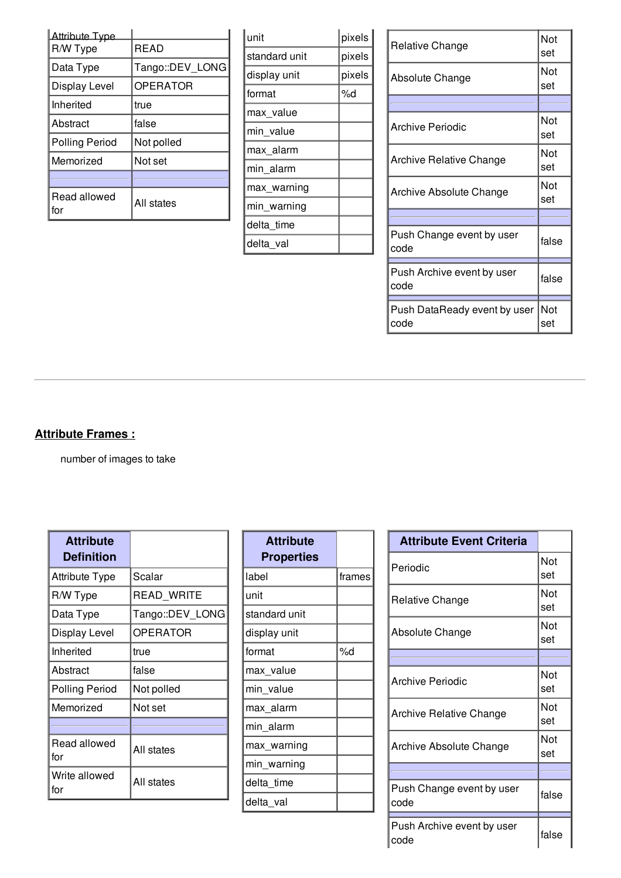| <b>Attribute Type</b><br>R/W Type | <b>READ</b>     |
|-----------------------------------|-----------------|
| Data Type                         | Tango::DEV LONG |
| Display Level                     | <b>OPERATOR</b> |
| Inherited                         | true            |
| Abstract                          | false           |
| <b>Polling Period</b>             | Not polled      |
| Memorized                         | Not set         |
|                                   |                 |
| Read allowed<br>for               | All states      |

| unit          | pixels |
|---------------|--------|
| standard unit | pixels |
| display unit  | pixels |
| format        | %d     |
| max_value     |        |
| min value     |        |
| max alarm     |        |
| min alarm     |        |
| max_warning   |        |
| min_warning   |        |
| delta time    |        |
| delta val     |        |

| Relative Change                      | Not<br>set |
|--------------------------------------|------------|
| Absolute Change                      | Not<br>set |
|                                      |            |
| <b>Archive Periodic</b>              | Not<br>set |
| <b>Archive Relative Change</b>       | Not<br>set |
| Archive Absolute Change              | Not<br>set |
|                                      |            |
| Push Change event by user<br>code    | false      |
| Push Archive event by user<br>code   | false      |
| Push DataReady event by user<br>code | Not<br>set |

## **Attribute Frames :**

number of images to take

| <b>Attribute</b><br><b>Definition</b> |                 |
|---------------------------------------|-----------------|
| <b>Attribute Type</b>                 | Scalar          |
| R/W Type                              | READ WRITE      |
| Data Type                             | Tango::DEV_LONG |
| Display Level                         | OPERATOR        |
| Inherited                             | true            |
| Abstract                              | false           |
| <b>Polling Period</b>                 | Not polled      |
| Memorized                             | Not set         |
|                                       |                 |
| Read allowed<br>for                   | All states      |
| Write allowed<br>for                  | All states      |

| <b>Attribute</b><br><b>Properties</b> |        |
|---------------------------------------|--------|
| label                                 | frames |
| unit                                  |        |
| standard unit                         |        |
| display unit                          |        |
| format                                | %d     |
| max value                             |        |
| min value                             |        |
| max alarm                             |        |
| min alarm                             |        |
| max warning                           |        |
| min_warning                           |        |
| delta time                            |        |
| delta_val                             |        |

| <b>Attribute Event Criteria</b> |       |
|---------------------------------|-------|
| Periodic                        | Not   |
|                                 | set   |
| Relative Change                 | Not   |
|                                 | set   |
|                                 | Not   |
| Absolute Change                 | set   |
|                                 |       |
| <b>Archive Periodic</b>         | Not   |
|                                 | set   |
| Archive Relative Change         | Not   |
|                                 | set   |
|                                 | Not   |
| Archive Absolute Change         | set   |
|                                 |       |
| Push Change event by user       | false |
| code                            |       |
| Push Archive event by user      |       |
| code                            | false |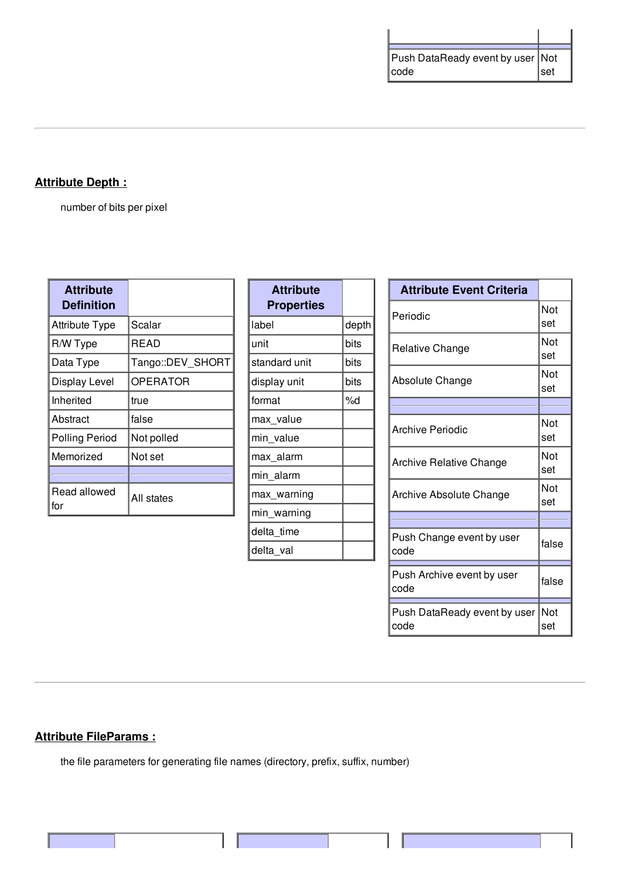| Push DataReady event by user   Not |     |
|------------------------------------|-----|
| code                               | set |

## **Attribute Depth :**

number of bits per pixel

| <b>Attribute</b><br><b>Definition</b> |                  |
|---------------------------------------|------------------|
| <b>Attribute Type</b>                 | Scalar           |
| R/W Type                              | READ             |
| Data Type                             | Tango::DEV SHORT |
| Display Level                         | OPERATOR         |
| Inherited                             | true             |
| Abstract                              | false            |
| <b>Polling Period</b>                 | Not polled       |
| Memorized                             | Not set          |
|                                       |                  |
| Read allowed<br>for                   | All states       |

| <b>Attribute</b><br><b>Properties</b> |       |
|---------------------------------------|-------|
| label                                 | depth |
| unit                                  | bits  |
| standard unit                         | bits  |
| display unit                          | bits  |
| format                                | %d    |
| max_value                             |       |
| min_value                             |       |
| max_alarm                             |       |
| min_alarm                             |       |
| max_warning                           |       |
| min warning                           |       |
| delta time                            |       |
| delta val                             |       |

| <b>Attribute Event Criteria</b>      |            |
|--------------------------------------|------------|
| Periodic                             | Not<br>set |
| Relative Change                      | Not<br>set |
| Absolute Change                      | Not<br>set |
|                                      |            |
| Archive Periodic                     | Not<br>set |
| <b>Archive Relative Change</b>       | Not<br>set |
| Archive Absolute Change              | Not<br>set |
|                                      |            |
| Push Change event by user<br>code    | false      |
| Push Archive event by user<br>code   | false      |
| Push DataReady event by user<br>code | Not<br>set |

#### **Attribute FileParams :**

the file parameters for generating file names (directory, prefix, suffix, number)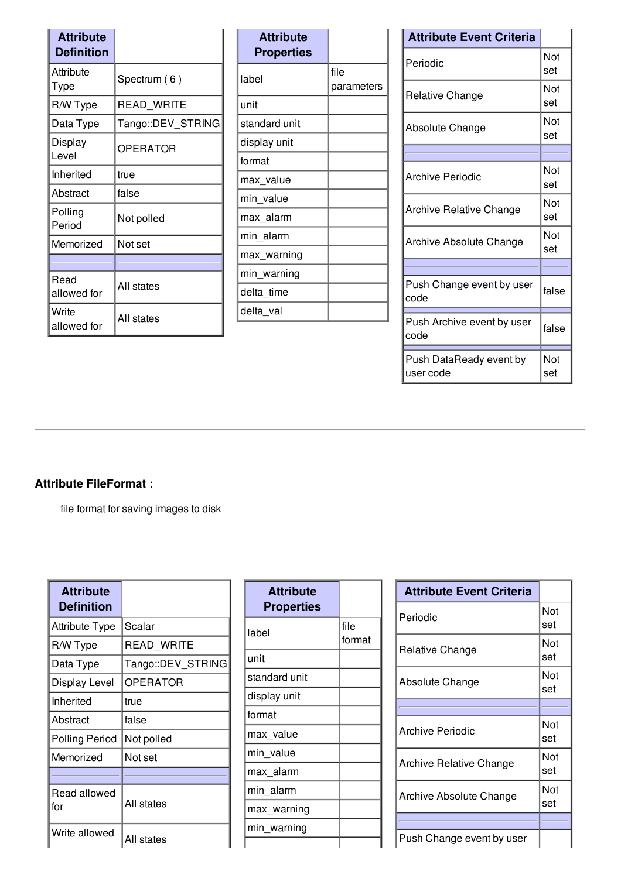| <b>Attribute</b><br><b>Definition</b> |                   |  |
|---------------------------------------|-------------------|--|
| Attribute<br>Type                     | Spectrum (6)      |  |
| R/W Type                              | READ_WRITE        |  |
| Data Type                             | Tango::DEV_STRING |  |
| Display<br>Level                      | <b>OPERATOR</b>   |  |
| Inherited                             | true              |  |
| Abstract                              | false             |  |
| Polling<br>Period                     | Not polled        |  |
| Memorized                             | Not set           |  |
|                                       |                   |  |
| Read<br>allowed for                   | All states        |  |
| Write<br>allowed for                  | All states        |  |

| <b>Attribute</b><br><b>Properties</b> |                    |
|---------------------------------------|--------------------|
| label                                 | file<br>parameters |
| unit                                  |                    |
| standard unit                         |                    |
| display unit                          |                    |
| format                                |                    |
| max_value                             |                    |
| min value                             |                    |
| max_alarm                             |                    |
| min alarm                             |                    |
| max warning                           |                    |
| min_warning                           |                    |
| delta_time                            |                    |
| delta val                             |                    |

| <b>Attribute Event Criteria</b>      |            |
|--------------------------------------|------------|
| Periodic                             | Not<br>set |
| Relative Change                      | Not<br>set |
| Absolute Change                      | Not<br>set |
|                                      |            |
| Archive Periodic                     | Not<br>set |
| <b>Archive Relative Change</b>       | Not<br>set |
| Archive Absolute Change              | Not<br>set |
|                                      |            |
| Push Change event by user<br>code    | false      |
| Push Archive event by user<br>code   | false      |
| Push DataReady event by<br>user code | Not<br>set |

#### **Attribute FileFormat :**

file format for saving images to disk

| <b>Attribute</b><br><b>Definition</b> |                   |
|---------------------------------------|-------------------|
| <b>Attribute Type</b>                 | Scalar            |
| R/W Type                              | READ WRITE        |
| Data Type                             | Tango::DEV_STRING |
| Display Level                         | <b>OPERATOR</b>   |
| Inherited                             | true              |
| Abstract                              | false             |
| <b>Polling Period</b>                 | Not polled        |
| Memorized                             | Not set           |
|                                       |                   |
| Read allowed<br>for                   | All states        |
| Write allowed                         | All states        |

| <b>Attribute</b><br><b>Properties</b> |                |
|---------------------------------------|----------------|
| label                                 | file<br>format |
| unit                                  |                |
| standard unit                         |                |
| display unit                          |                |
| format                                |                |
| max_value                             |                |
| min value                             |                |
| max_alarm                             |                |
| min alarm                             |                |
| max warning                           |                |
| min_warning                           |                |
|                                       |                |

| <b>Attribute Event Criteria</b> |            |
|---------------------------------|------------|
| Periodic                        | Not<br>set |
| Relative Change                 | Not<br>set |
| Absolute Change                 | Not<br>set |
|                                 |            |
| <b>Archive Periodic</b>         | Not<br>set |
| Archive Relative Change         | Not<br>set |
| Archive Absolute Change         | Not<br>set |
|                                 |            |
| Push Change event by user       |            |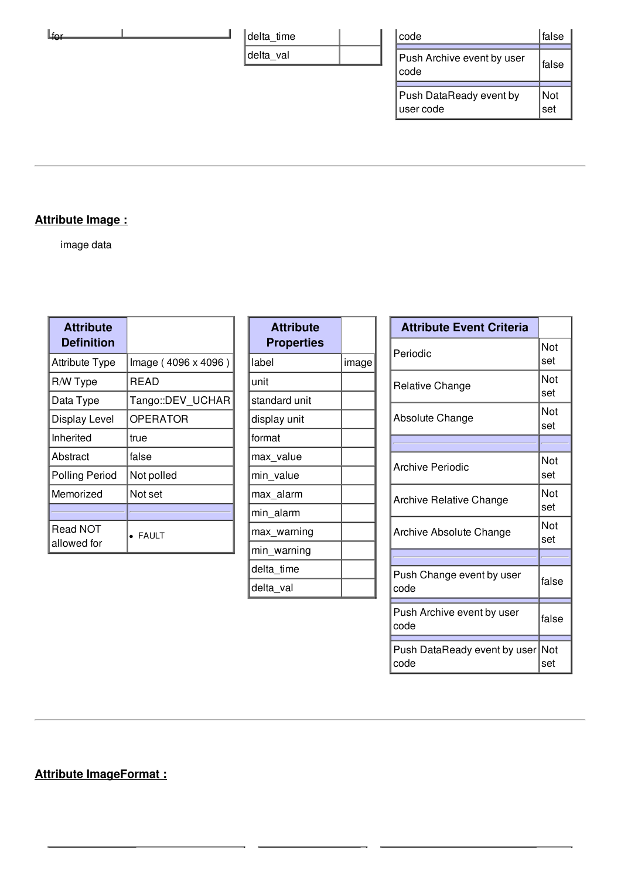| ⊥tor | delta_time | code                                  | false      |
|------|------------|---------------------------------------|------------|
|      | delta val  | Push Archive event by user<br>∣code   | false      |
|      |            | Push DataReady event by<br>∣user code | Not<br>set |

#### **Attribute Image :**

image data

| <b>Attribute</b><br><b>Definition</b> |                     |
|---------------------------------------|---------------------|
| <b>Attribute Type</b>                 | Image (4096 x 4096) |
| R/W Type                              | <b>READ</b>         |
| Data Type                             | Tango::DEV_UCHAR    |
| Display Level                         | <b>OPERATOR</b>     |
| Inherited                             | true                |
| Abstract                              | false               |
| <b>Polling Period</b>                 | Not polled          |
| Memorized                             | Not set             |
|                                       |                     |
| Read NOT<br>allowed for               | <b>FAULT</b>        |

| <b>Attribute</b><br><b>Properties</b> |       |
|---------------------------------------|-------|
| label                                 | image |
| unit                                  |       |
| standard unit                         |       |
| display unit                          |       |
| format                                |       |
| max_value                             |       |
| min_value                             |       |
| max alarm                             |       |
| min alarm                             |       |
| max warning                           |       |
| min_warning                           |       |
| delta time                            |       |
| delta val                             |       |

| <b>Attribute Event Criteria</b>      |            |
|--------------------------------------|------------|
| Periodic                             | Not<br>set |
| Relative Change                      | Not<br>set |
| Absolute Change                      | Not<br>set |
|                                      |            |
| Archive Periodic                     | Not<br>set |
| <b>Archive Relative Change</b>       | Not<br>set |
| Archive Absolute Change              | Not<br>set |
|                                      |            |
| Push Change event by user<br>code    | false      |
| Push Archive event by user<br>code   | false      |
| Push DataReady event by user<br>code | Not<br>set |

## **Attribute ImageFormat :**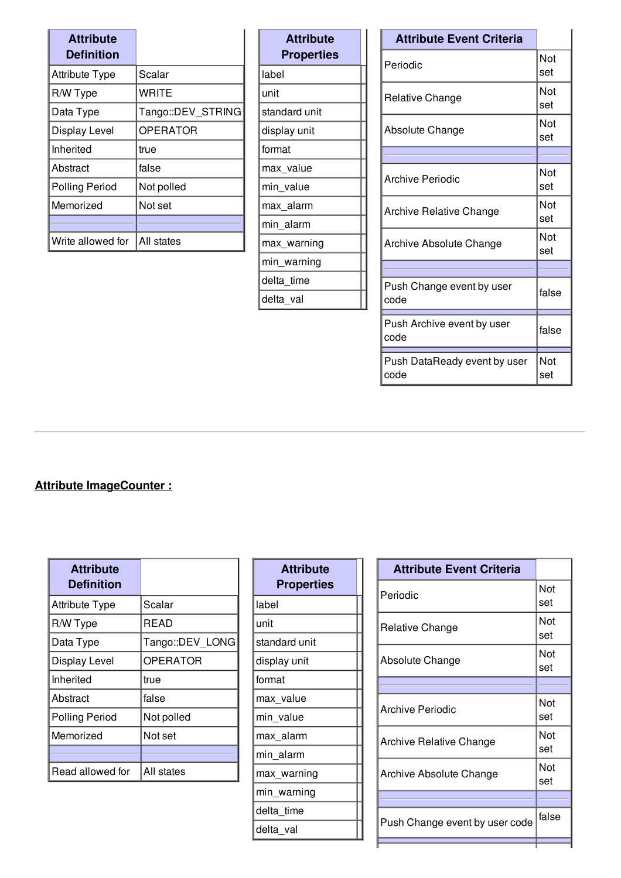| <b>Attribute</b><br><b>Definition</b> |                   |
|---------------------------------------|-------------------|
| <b>Attribute Type</b>                 | Scalar            |
| R/W Type                              | WRITE             |
| Data Type                             | Tango::DEV STRING |
| Display Level                         | <b>OPERATOR</b>   |
| Inherited                             | true              |
| Abstract                              | false             |
| <b>Polling Period</b>                 | Not polled        |
| Memorized                             | Not set           |
|                                       |                   |
| Write allowed for                     | IAII states       |

| <b>Attribute</b><br>Properties |
|--------------------------------|
| label                          |
| unit                           |
| standard unit                  |
| display unit                   |
| format                         |
| max value                      |
| min_value                      |
| max alarm                      |
| min alarm                      |
| max warning                    |
| min_warning                    |
| delta time                     |
| delta_val                      |

| <b>Attribute Event Criteria</b>      |            |
|--------------------------------------|------------|
| Periodic                             | Not<br>set |
| Relative Change                      | Not<br>set |
| Absolute Change                      | Not<br>set |
|                                      |            |
| <b>Archive Periodic</b>              | Not<br>set |
| Archive Relative Change              | Not<br>set |
| Archive Absolute Change              | Not<br>set |
|                                      |            |
| Push Change event by user<br>code    | false      |
| Push Archive event by user<br>code   | false      |
| Push DataReady event by user<br>code | Not<br>set |

## **Attribute ImageCounter :**

| <b>Attribute</b><br><b>Definition</b> |                 |
|---------------------------------------|-----------------|
| <b>Attribute Type</b>                 | Scalar          |
| R/W Type                              | READ            |
| Data Type                             | Tango::DEV LONG |
| Display Level                         | <b>OPERATOR</b> |
| Inherited                             | true            |
| Abstract                              | false           |
| <b>Polling Period</b>                 | Not polled      |
| Memorized                             | Not set         |
|                                       |                 |
| Read allowed for                      | All states      |

| <b>Attribute</b><br><b>Properties</b> |
|---------------------------------------|
| label                                 |
| unit                                  |
| standard unit                         |
| display unit                          |
| format                                |
| max_value                             |
| min value                             |
| max_alarm                             |
| min alarm                             |
| max warning                           |
| min_warning                           |
| delta time                            |
| delta_val                             |

| <b>Attribute Event Criteria</b> |            |
|---------------------------------|------------|
| Periodic                        | Not<br>set |
| <b>Relative Change</b>          | Not<br>set |
| Absolute Change                 | Not<br>set |
|                                 |            |
| Archive Periodic                | Not<br>set |
| Archive Relative Change         | Not<br>set |
| Archive Absolute Change         | Not<br>set |
|                                 |            |
| Push Change event by user code  | false      |
|                                 |            |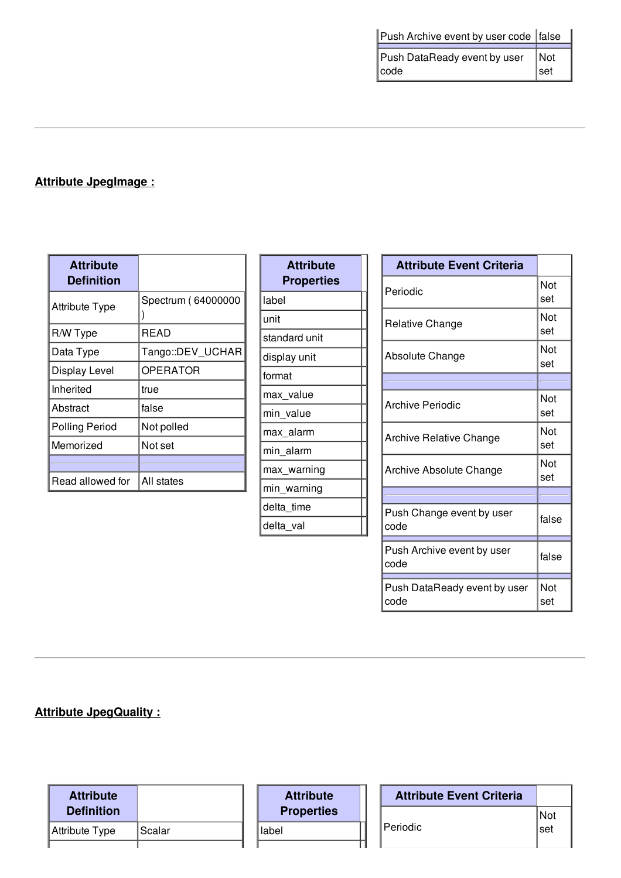| Push Archive event by user code false |     |
|---------------------------------------|-----|
| Push DataReady event by user          | Not |
| code                                  | set |

# **Attribute JpegImage :**

| <b>Attribute</b><br><b>Definition</b> |                    |
|---------------------------------------|--------------------|
| <b>Attribute Type</b>                 | Spectrum (64000000 |
| R/W Type                              | READ               |
| Data Type                             | Tango::DEV UCHAR   |
| Display Level                         | <b>OPERATOR</b>    |
| Inherited                             | true               |
| Abstract                              | false              |
| <b>Polling Period</b>                 | Not polled         |
| Memorized                             | Not set            |
|                                       |                    |
| Read allowed for                      | All states         |

| <b>Attribute</b><br><b>Properties</b> |
|---------------------------------------|
| label                                 |
| unit                                  |
| standard unit                         |
| display unit                          |
| format                                |
| max_value                             |
| min value                             |
| max alarm                             |
| min alarm                             |
| max_warning                           |
| min_warning                           |
| delta time                            |
| delta_val                             |

| <b>Attribute Event Criteria</b>      |            |
|--------------------------------------|------------|
| Periodic                             | Not<br>set |
| Relative Change                      | Not<br>set |
| Absolute Change                      | Not<br>set |
|                                      |            |
| <b>Archive Periodic</b>              | Not<br>set |
| Archive Relative Change              | Not<br>set |
| Archive Absolute Change              | Not<br>set |
|                                      |            |
| Push Change event by user<br>code    | false      |
| Push Archive event by user<br>code   | false      |
| Push DataReady event by user<br>code | Not<br>set |

**Attribute JpegQuality :**

| <b>Attribute</b>  |        | <b>Attribute</b>  | <b>Attribute Event Criteria</b> |       |
|-------------------|--------|-------------------|---------------------------------|-------|
| <b>Definition</b> |        | <b>Properties</b> |                                 | l Not |
| ∥Attribute Type   | Scalar | llabel            | Periodic                        | ∣set  |
|                   |        |                   |                                 |       |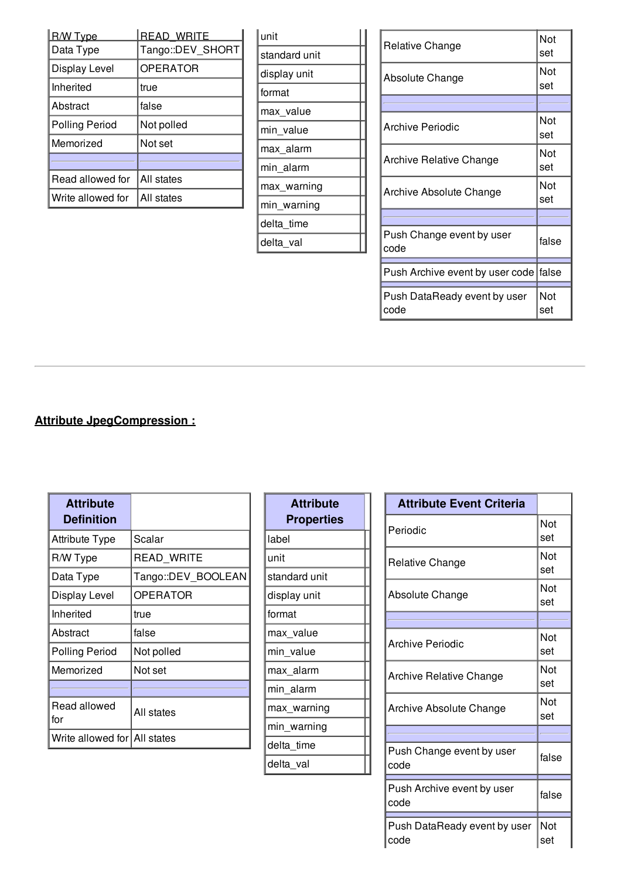| <u>R/W Type</u>      | <b>READ WRITE</b> |
|----------------------|-------------------|
| Data Type            | Tango::DEV_SHORT  |
| <b>Display Level</b> | <b>OPERATOR</b>   |
| Inherited            | true              |
| Abstract             | false             |
| Polling Period       | Not polled        |
| Memorized            | Not set           |
|                      |                   |
| Read allowed for     | All states        |
| Write allowed for    | All states        |

| lunit         |  |
|---------------|--|
| standard unit |  |
| display unit  |  |
| format        |  |
| max_value     |  |
| min_value     |  |
| max alarm     |  |
| min_alarm     |  |
| max warning   |  |
| min_warning   |  |
| delta time    |  |
| delta val     |  |

| Relative Change                         | Not<br>set |
|-----------------------------------------|------------|
| Absolute Change                         | Not<br>set |
|                                         |            |
| <b>Archive Periodic</b>                 | Not<br>set |
| <b>Archive Relative Change</b>          | Not<br>set |
| <b>Archive Absolute Change</b>          | Not<br>set |
|                                         |            |
| Push Change event by user<br>code       | false      |
| Push Archive event by user code   false |            |
| Push DataReady event by user<br>code    | Not<br>set |

# **Attribute JpegCompression :**

| <b>Attribute</b><br><b>Definition</b> |                    |
|---------------------------------------|--------------------|
| Attribute Type                        | Scalar             |
| R/W Type                              | READ_WRITE         |
| Data Type                             | Tango::DEV_BOOLEAN |
| Display Level                         | <b>OPERATOR</b>    |
| Inherited                             | true               |
| Abstract                              | false              |
| <b>Polling Period</b>                 | Not polled         |
| Memorized                             | Not set            |
|                                       |                    |
| Read allowed<br>for                   | All states         |
| Write allowed for All states          |                    |

| <b>Attribute</b><br><b>Properties</b> |
|---------------------------------------|
| label                                 |
| unit                                  |
| standard unit                         |
| display unit                          |
| format                                |
| max_value                             |
| min value                             |
| max_alarm                             |
| min_alarm                             |
| max_warning                           |
| min_warning                           |
| delta_time                            |
| delta_val                             |

| <b>Attribute Event Criteria</b>      |            |
|--------------------------------------|------------|
| Periodic                             | Not<br>set |
| Relative Change                      | Not<br>set |
| Absolute Change                      | Not<br>set |
|                                      |            |
| Archive Periodic                     | Not<br>set |
| Archive Relative Change              | Not<br>set |
| Archive Absolute Change              | Not<br>set |
|                                      |            |
| Push Change event by user<br>code    | false      |
| Push Archive event by user<br>code   | false      |
| Push DataReady event by user<br>code | Not<br>set |